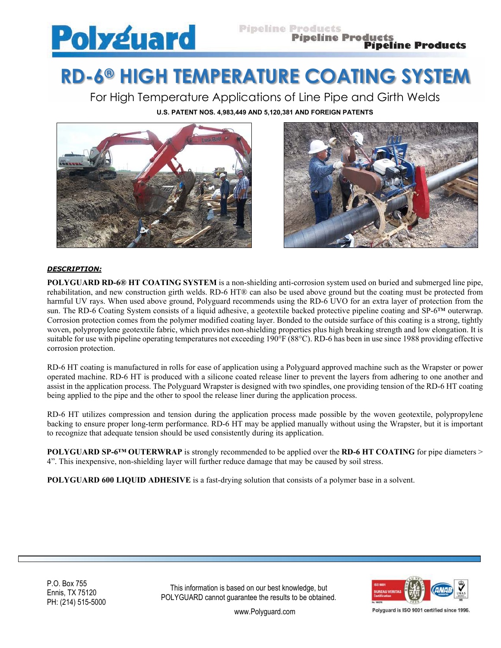

# **RD-6® HIGH TEMPERATURE COATING SYSTEM**

For High Temperature Applications of Line Pipe and Girth Welds **U.S. PATENT NOS. 4,983,449 AND 5,120,381 AND FOREIGN PATENTS**





## *DESCRIPTION:*

**POLYGUARD RD-6<sup>®</sup> HT COATING SYSTEM** is a non-shielding anti-corrosion system used on buried and submerged line pipe, rehabilitation, and new construction girth welds. RD-6 HT® can also be used above ground but the coating must be protected from harmful UV rays. When used above ground, Polyguard recommends using the RD-6 UVO for an extra layer of protection from the sun. The RD-6 Coating System consists of a liquid adhesive, a geotextile backed protective pipeline coating and SP-6™ outerwrap. Corrosion protection comes from the polymer modified coating layer. Bonded to the outside surface of this coating is a strong, tightly woven, polypropylene geotextile fabric, which provides non-shielding properties plus high breaking strength and low elongation. It is suitable for use with pipeline operating temperatures not exceeding 190°F (88°C). RD-6 has been in use since 1988 providing effective corrosion protection.

RD-6 HT coating is manufactured in rolls for ease of application using a Polyguard approved machine such as the Wrapster or power operated machine. RD-6 HT is produced with a silicone coated release liner to prevent the layers from adhering to one another and assist in the application process. The Polyguard Wrapster is designed with two spindles, one providing tension of the RD-6 HT coating being applied to the pipe and the other to spool the release liner during the application process.

RD-6 HT utilizes compression and tension during the application process made possible by the woven geotextile, polypropylene backing to ensure proper long-term performance. RD-6 HT may be applied manually without using the Wrapster, but it is important to recognize that adequate tension should be used consistently during its application.

**POLYGUARD SP-6™ OUTERWRAP** is strongly recommended to be applied over the **RD-6 HT COATING** for pipe diameters > 4". This inexpensive, non-shielding layer will further reduce damage that may be caused by soil stress.

**POLYGUARD 600 LIQUID ADHESIVE** is a fast-drying solution that consists of a polymer base in a solvent.

P.O. Box 755 Ennis, TX 75120 PH: (214) 515-5000

This information is based on our best knowledge, but POLYGUARD cannot guarantee the results to be obtained.



Polyguard is ISO 9001 certified since 1996

www.Polyguard.com